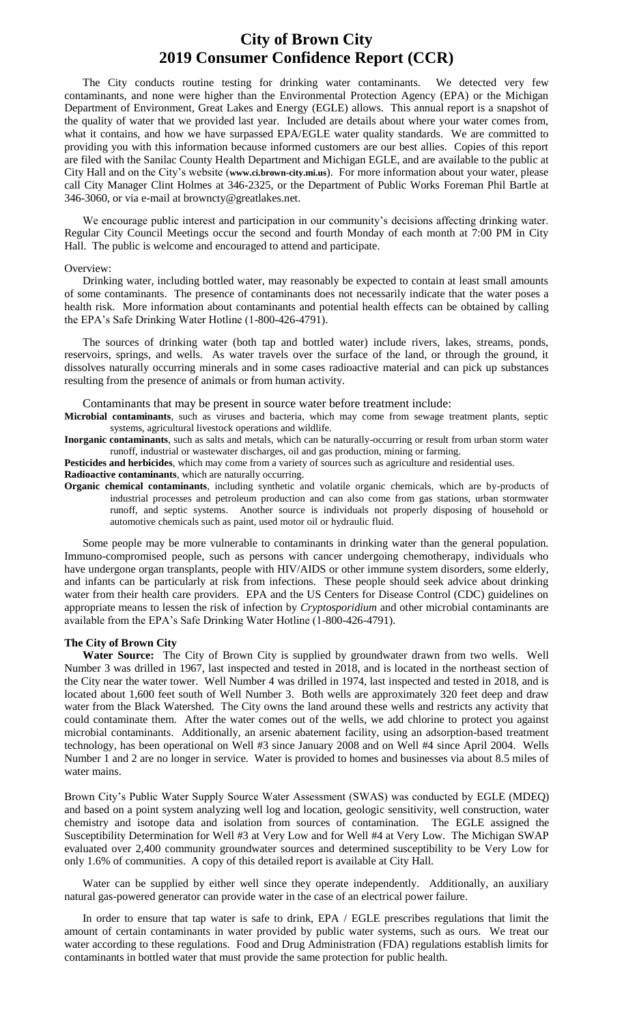## **City of Brown City 2019 Consumer Confidence Report (CCR)**

The City conducts routine testing for drinking water contaminants. We detected very few contaminants, and none were higher than the Environmental Protection Agency (EPA) or the Michigan Department of Environment, Great Lakes and Energy (EGLE) allows. This annual report is a snapshot of the quality of water that we provided last year. Included are details about where your water comes from, what it contains, and how we have surpassed EPA/EGLE water quality standards. We are committed to providing you with this information because informed customers are our best allies. Copies of this report are filed with the Sanilac County Health Department and Michigan EGLE, and are available to the public at City Hall and on the City's website (**www.ci.brown-city.mi.us**). For more information about your water, please call City Manager Clint Holmes at 346-2325, or the Department of Public Works Foreman Phil Bartle at 346-3060, or via e-mail at browncty@greatlakes.net.

We encourage public interest and participation in our community's decisions affecting drinking water. Regular City Council Meetings occur the second and fourth Monday of each month at 7:00 PM in City Hall. The public is welcome and encouraged to attend and participate.

#### Overview:

Drinking water, including bottled water, may reasonably be expected to contain at least small amounts of some contaminants. The presence of contaminants does not necessarily indicate that the water poses a health risk. More information about contaminants and potential health effects can be obtained by calling the EPA's Safe Drinking Water Hotline (1-800-426-4791).

The sources of drinking water (both tap and bottled water) include rivers, lakes, streams, ponds, reservoirs, springs, and wells. As water travels over the surface of the land, or through the ground, it dissolves naturally occurring minerals and in some cases radioactive material and can pick up substances resulting from the presence of animals or from human activity.

Contaminants that may be present in source water before treatment include:

**Microbial contaminants**, such as viruses and bacteria, which may come from sewage treatment plants, septic systems, agricultural livestock operations and wildlife.

**Inorganic contaminants**, such as salts and metals, which can be naturally-occurring or result from urban storm water runoff, industrial or wastewater discharges, oil and gas production, mining or farming.

**Pesticides and herbicides**, which may come from a variety of sources such as agriculture and residential uses.

**Radioactive contaminants**, which are naturally occurring.

**Organic chemical contaminants**, including synthetic and volatile organic chemicals, which are by-products of industrial processes and petroleum production and can also come from gas stations, urban stormwater runoff, and septic systems. Another source is individuals not properly disposing of household or automotive chemicals such as paint, used motor oil or hydraulic fluid.

Some people may be more vulnerable to contaminants in drinking water than the general population. Immuno-compromised people, such as persons with cancer undergoing chemotherapy, individuals who have undergone organ transplants, people with HIV/AIDS or other immune system disorders, some elderly, and infants can be particularly at risk from infections. These people should seek advice about drinking water from their health care providers. EPA and the US Centers for Disease Control (CDC) guidelines on appropriate means to lessen the risk of infection by *Cryptosporidium* and other microbial contaminants are available from the EPA's Safe Drinking Water Hotline (1-800-426-4791).

### **The City of Brown City**

**Water Source:** The City of Brown City is supplied by groundwater drawn from two wells. Well Number 3 was drilled in 1967, last inspected and tested in 2018, and is located in the northeast section of the City near the water tower. Well Number 4 was drilled in 1974, last inspected and tested in 2018, and is located about 1,600 feet south of Well Number 3. Both wells are approximately 320 feet deep and draw water from the Black Watershed. The City owns the land around these wells and restricts any activity that could contaminate them. After the water comes out of the wells, we add chlorine to protect you against microbial contaminants. Additionally, an arsenic abatement facility, using an adsorption-based treatment technology, has been operational on Well #3 since January 2008 and on Well #4 since April 2004. Wells Number 1 and 2 are no longer in service. Water is provided to homes and businesses via about 8.5 miles of water mains.

Brown City's Public Water Supply Source Water Assessment (SWAS) was conducted by EGLE (MDEQ) and based on a point system analyzing well log and location, geologic sensitivity, well construction, water chemistry and isotope data and isolation from sources of contamination. The EGLE assigned the Susceptibility Determination for Well #3 at Very Low and for Well #4 at Very Low. The Michigan SWAP evaluated over 2,400 community groundwater sources and determined susceptibility to be Very Low for only 1.6% of communities. A copy of this detailed report is available at City Hall.

Water can be supplied by either well since they operate independently. Additionally, an auxiliary natural gas-powered generator can provide water in the case of an electrical power failure.

In order to ensure that tap water is safe to drink, EPA / EGLE prescribes regulations that limit the amount of certain contaminants in water provided by public water systems, such as ours. We treat our water according to these regulations. Food and Drug Administration (FDA) regulations establish limits for contaminants in bottled water that must provide the same protection for public health.